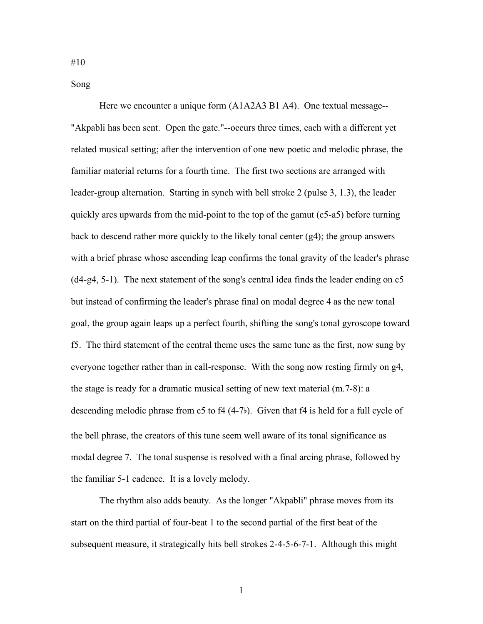Song

Here we encounter a unique form (A1A2A3 B1 A4). One textual message-- "Akpabli has been sent. Open the gate."--occurs three times, each with a different yet related musical setting; after the intervention of one new poetic and melodic phrase, the familiar material returns for a fourth time. The first two sections are arranged with leader-group alternation. Starting in synch with bell stroke 2 (pulse 3, 1.3), the leader quickly arcs upwards from the mid-point to the top of the gamut (c5-a5) before turning back to descend rather more quickly to the likely tonal center (g4); the group answers with a brief phrase whose ascending leap confirms the tonal gravity of the leader's phrase (d4-g4, 5-1). The next statement of the song's central idea finds the leader ending on c5 but instead of confirming the leader's phrase final on modal degree 4 as the new tonal goal, the group again leaps up a perfect fourth, shifting the song's tonal gyroscope toward f5. The third statement of the central theme uses the same tune as the first, now sung by everyone together rather than in call-response. With the song now resting firmly on g4, the stage is ready for a dramatic musical setting of new text material (m.7-8): a descending melodic phrase from c5 to f4 (4-7b). Given that f4 is held for a full cycle of the bell phrase, the creators of this tune seem well aware of its tonal significance as modal degree 7. The tonal suspense is resolved with a final arcing phrase, followed by the familiar 5-1 cadence. It is a lovely melody.

The rhythm also adds beauty. As the longer "Akpabli" phrase moves from its start on the third partial of four-beat 1 to the second partial of the first beat of the subsequent measure, it strategically hits bell strokes 2-4-5-6-7-1. Although this might

1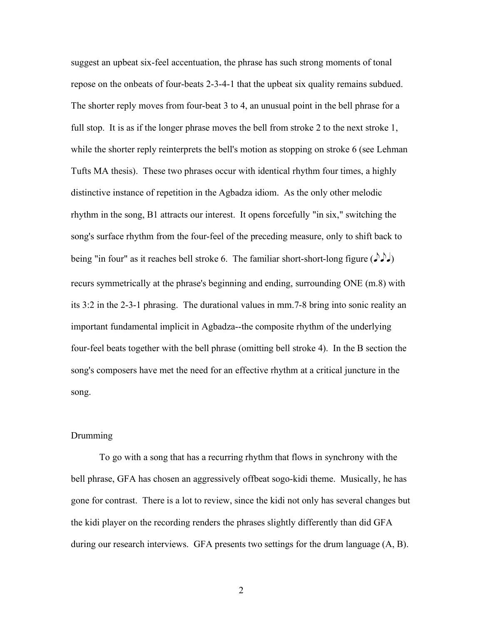suggest an upbeat six-feel accentuation, the phrase has such strong moments of tonal repose on the onbeats of four-beats 2-3-4-1 that the upbeat six quality remains subdued. The shorter reply moves from four-beat 3 to 4, an unusual point in the bell phrase for a full stop. It is as if the longer phrase moves the bell from stroke 2 to the next stroke 1, while the shorter reply reinterprets the bell's motion as stopping on stroke 6 (see Lehman Tufts MA thesis). These two phrases occur with identical rhythm four times, a highly distinctive instance of repetition in the Agbadza idiom. As the only other melodic rhythm in the song, B1 attracts our interest. It opens forcefully "in six," switching the song's surface rhythm from the four-feel of the preceding measure, only to shift back to being "in four" as it reaches bell stroke 6. The familiar short-short-long figure  $(\lambda \lambda)$ recurs symmetrically at the phrase's beginning and ending, surrounding ONE (m.8) with its 3:2 in the 2-3-1 phrasing. The durational values in mm.7-8 bring into sonic reality an important fundamental implicit in Agbadza--the composite rhythm of the underlying four-feel beats together with the bell phrase (omitting bell stroke 4). In the B section the song's composers have met the need for an effective rhythm at a critical juncture in the song.

## Drumming

To go with a song that has a recurring rhythm that flows in synchrony with the bell phrase, GFA has chosen an aggressively offbeat sogo-kidi theme. Musically, he has gone for contrast. There is a lot to review, since the kidi not only has several changes but the kidi player on the recording renders the phrases slightly differently than did GFA during our research interviews. GFA presents two settings for the drum language (A, B).

2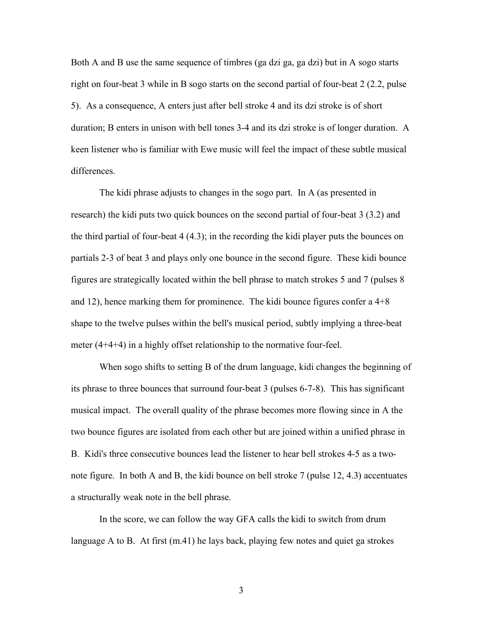Both A and B use the same sequence of timbres (ga dzi ga, ga dzi) but in A sogo starts right on four-beat 3 while in B sogo starts on the second partial of four-beat 2 (2.2, pulse 5). As a consequence, A enters just after bell stroke 4 and its dzi stroke is of short duration; B enters in unison with bell tones 3-4 and its dzi stroke is of longer duration. A keen listener who is familiar with Ewe music will feel the impact of these subtle musical differences.

The kidi phrase adjusts to changes in the sogo part. In A (as presented in research) the kidi puts two quick bounces on the second partial of four-beat 3 (3.2) and the third partial of four-beat 4 (4.3); in the recording the kidi player puts the bounces on partials 2-3 of beat 3 and plays only one bounce in the second figure. These kidi bounce figures are strategically located within the bell phrase to match strokes 5 and 7 (pulses 8 and 12), hence marking them for prominence. The kidi bounce figures confer a 4+8 shape to the twelve pulses within the bell's musical period, subtly implying a three-beat meter (4+4+4) in a highly offset relationship to the normative four-feel.

When sogo shifts to setting B of the drum language, kidi changes the beginning of its phrase to three bounces that surround four-beat 3 (pulses 6-7-8). This has significant musical impact. The overall quality of the phrase becomes more flowing since in A the two bounce figures are isolated from each other but are joined within a unified phrase in B. Kidi's three consecutive bounces lead the listener to hear bell strokes 4-5 as a twonote figure. In both A and B, the kidi bounce on bell stroke 7 (pulse 12, 4.3) accentuates a structurally weak note in the bell phrase.

In the score, we can follow the way GFA calls the kidi to switch from drum language A to B. At first (m.41) he lays back, playing few notes and quiet ga strokes

3